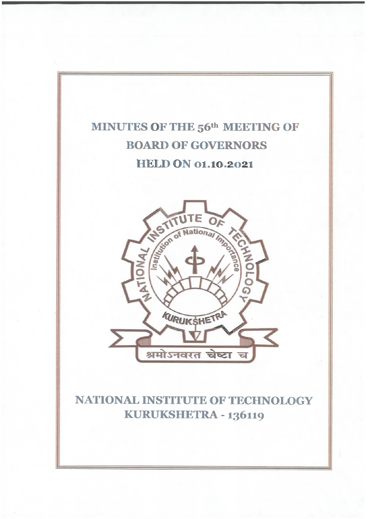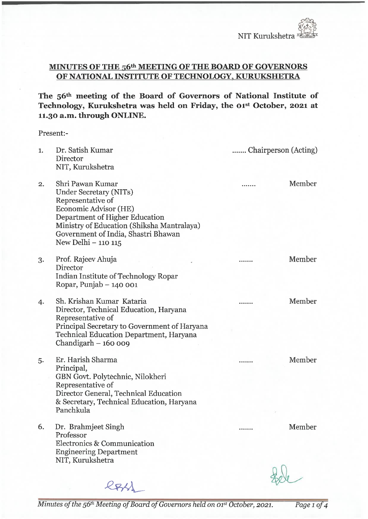### MINUTES OF THE 56<sup>th</sup> MEETING OF THE BOARD OF GOVERNORS OF NATIONAL INSTITUTE OF TECHNOLOGY, KURUKSHETRA

The 56th meeting of the Board of Governors of National Institute of Technology, Kurukshetra was held on Friday, the 01st October, 2021 at 11.30 a.m. through ONLINE.

Present:-

| 1. | Dr. Satish Kumar<br>Director<br>NIT, Kurukshetra                                                                                                                                                                                       | Chairperson (Acting) |                  |
|----|----------------------------------------------------------------------------------------------------------------------------------------------------------------------------------------------------------------------------------------|----------------------|------------------|
| 2. | Shri Pawan Kumar<br>Under Secretary (NITs)<br>Representative of<br>Economic Advisor (HE)<br>Department of Higher Education<br>Ministry of Education (Shiksha Mantralaya)<br>Government of India, Shastri Bhawan<br>New Delhi - 110 115 |                      | Member           |
| 3. | Prof. Rajeev Ahuja<br>Director<br>Indian Institute of Technology Ropar<br>Ropar, Punjab $-140001$                                                                                                                                      |                      | Member           |
| 4. | Sh. Krishan Kumar Kataria<br>Director, Technical Education, Haryana<br>Representative of<br>Principal Secretary to Government of Haryana<br>Technical Education Department, Haryana<br>Chandigarh $-160009$                            |                      | Member           |
| 5. | Er. Harish Sharma<br>Principal,<br>GBN Govt. Polytechnic, Nilokheri<br>Representative of<br>Director General, Technical Education<br>& Secretary, Technical Education, Haryana<br>Panchkula                                            |                      | Member           |
| 6. | Dr. Brahmjeet Singh<br>Professor<br>Electronics & Communication<br><b>Engineering Department</b><br>NIT, Kurukshetra                                                                                                                   |                      | Member<br>$\sim$ |

 $R$  $R$  $M$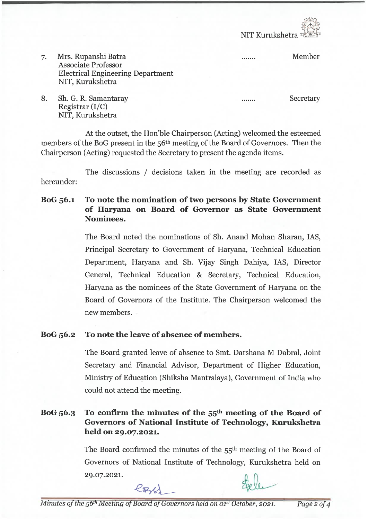NIT Kumkshetra

. . . . . . .

 $\frac{1}{2}$ 

Mrs. Rupanshi Batra 7. Associate Professor Electrical Engineering Department NIT, Kurukshetra

**Secretary** 

Member

8. Sh. G. R. Samantaray Registrar (I/C) NIT, Kurukshetra

At the outset, the Hon'ble Chairperson (Acting) welcomed the esteemed members of the BoG present in the 56<sup>th</sup> meeting of the Board of Governors. Then the Chairperson (Acting) requested the Secretary to present the agenda items.

The discussions / decisions taken in the meeting are recorded as hereunder:

BoG 56.1 To note the nomination of two persons by State Government of Haryana on Board of Governor as State Government Nominees.

> The Board noted the nominations of Sh. Anand Mohan Sharan, IAS, Principal Secretary to Government of Haryana, Technical Education Department, Haryana and Sh. Vijay Singh Dahiya, IAS, Director General, Technical Education & Secretary, Technical Education, Haryana as the nominees of the State Government of Haryana on the Board of Governors of the Institute. The Chairperson welcomed the new members.

### BoG 56.2 To note the leave of absence of members.

The Board granted leave of absence to Smt. Darshana M Dabral, Joint Secretary and Financial Advisor, Department of Higher Education, Ministry of Education (Shiksha Mantralaya), Government of India who could not attend the meeting.

# BoG  $56.3$  To confirm the minutes of the  $55<sup>th</sup>$  meeting of the Board of Governors of National Institute of Technology, Kurukshetra held on 29.07.2021.

The Board confirmed the minutes of the 55<sup>th</sup> meeting of the Board of Governors of National Institute of Technology, Kurukshetra held on 29. 07.2021.

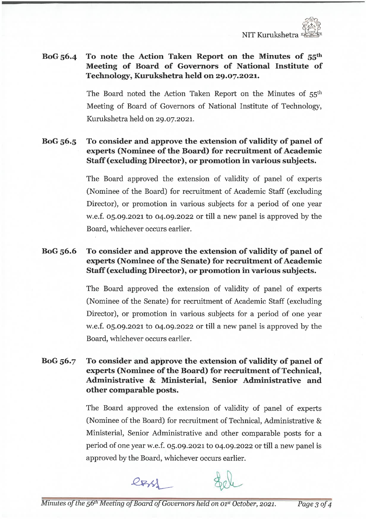# BoG  $56.4$  To note the Action Taken Report on the Minutes of  $55<sup>th</sup>$ Meeting of Board of Governors of National Institute of Technology, Kurukshetra held on 29.07.2021.

The Board noted the Action Taken Report on the Minutes of 55th Meeting of Board of Governors of National Institute of Technology, Kurukshetra held on 29.07.2021.

#### BoG 56.5 To consider and approve the extension of validity of panel of experts (Nominee of the Board) for recruitment of Academic Staff (excluding Director), or promotion in various subjects.

The Board approved the extension of validity of panel of experts (Nominee of the Board) for recruitment of Academic Staff (excluding Director), or promotion in various subjects for a period of one year w.e.f. 05.09.2021 to 04.09.2022 or till a new panel is approved by the Board, whichever occurs earlier.

#### BoG 56.6 To consider and approve the extension of validity of panel of experts (Nominee of the Senate) for recruitment of Academic Staff (excluding Director), or promotion in various subjects.

The Board approved the extension of validity of panel of experts (Nominee of the Senate) for recruitment of Academic Staff (excluding Director), or promotion in various subjects for a period of one year w.e.f. 05.09.2021 to 04.09.2022 or till a new panel is approved by the Board, whichever occurs earlier.

BoG 56.7 To consider and approve the extension of validity of panel of experts (Nominee of the Board) for recruitment of Technical, Administrative & Ministerial, Senior Administrative and other comparable posts.

> The Board approved the extension of validity of panel of experts (Nominee of the Board) for recmitment of Technical, Administrative & Ministerial, Senior Administrative and other comparable posts for a period of one year w.e.f. 05. 09. 2021 to 04. 09. 2022 or till a new panel is approved by the Board, whichever occurs earlier.